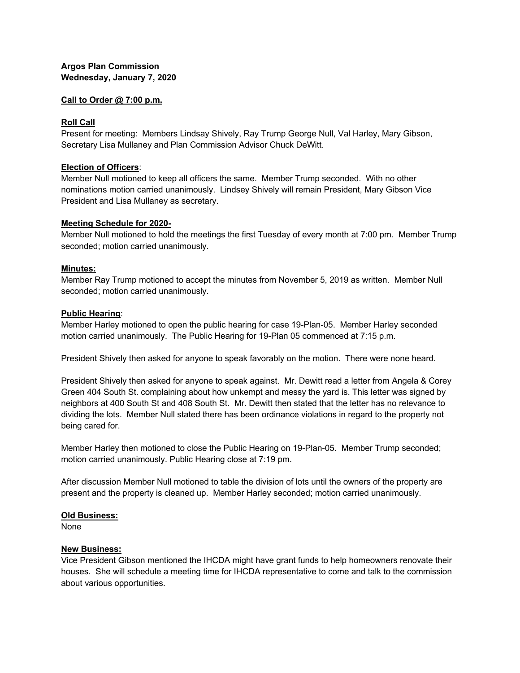## **Argos Plan Commission Wednesday, January 7, 2020**

#### **Call to Order @ 7:00 p.m.**

### **Roll Call**

Present for meeting: Members Lindsay Shively, Ray Trump George Null, Val Harley, Mary Gibson, Secretary Lisa Mullaney and Plan Commission Advisor Chuck DeWitt.

#### **Election of Officers**:

Member Null motioned to keep all officers the same. Member Trump seconded. With no other nominations motion carried unanimously. Lindsey Shively will remain President, Mary Gibson Vice President and Lisa Mullaney as secretary.

#### **Meeting Schedule for 2020-**

Member Null motioned to hold the meetings the first Tuesday of every month at 7:00 pm. Member Trump seconded; motion carried unanimously.

#### **Minutes:**

Member Ray Trump motioned to accept the minutes from November 5, 2019 as written. Member Null seconded; motion carried unanimously.

#### **Public Hearing**:

Member Harley motioned to open the public hearing for case 19-Plan-05. Member Harley seconded motion carried unanimously. The Public Hearing for 19-Plan 05 commenced at 7:15 p.m.

President Shively then asked for anyone to speak favorably on the motion. There were none heard.

President Shively then asked for anyone to speak against. Mr. Dewitt read a letter from Angela & Corey Green 404 South St. complaining about how unkempt and messy the yard is. This letter was signed by neighbors at 400 South St and 408 South St. Mr. Dewitt then stated that the letter has no relevance to dividing the lots. Member Null stated there has been ordinance violations in regard to the property not being cared for.

Member Harley then motioned to close the Public Hearing on 19-Plan-05. Member Trump seconded; motion carried unanimously. Public Hearing close at 7:19 pm.

After discussion Member Null motioned to table the division of lots until the owners of the property are present and the property is cleaned up. Member Harley seconded; motion carried unanimously.

#### **Old Business:**

None

#### **New Business:**

Vice President Gibson mentioned the IHCDA might have grant funds to help homeowners renovate their houses. She will schedule a meeting time for IHCDA representative to come and talk to the commission about various opportunities.